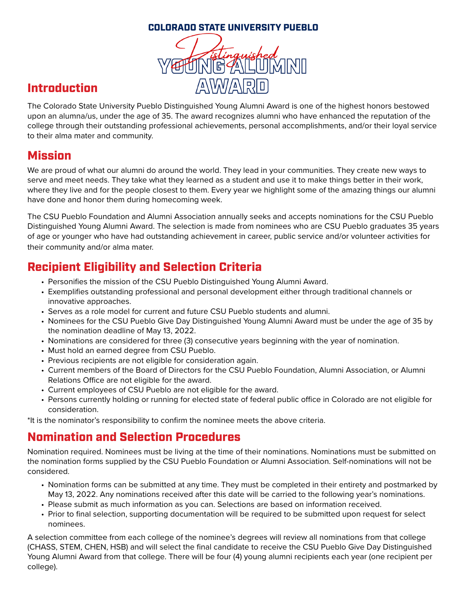#### COLORADO STATE UNIVERSITY PUEBLO



# Introduction

The Colorado State University Pueblo Distinguished Young Alumni Award is one of the highest honors bestowed upon an alumna/us, under the age of 35. The award recognizes alumni who have enhanced the reputation of the college through their outstanding professional achievements, personal accomplishments, and/or their loyal service to their alma mater and community.

### Mission

We are proud of what our alumni do around the world. They lead in your communities. They create new ways to serve and meet needs. They take what they learned as a student and use it to make things better in their work, where they live and for the people closest to them. Every year we highlight some of the amazing things our alumni have done and honor them during homecoming week.

The CSU Pueblo Foundation and Alumni Association annually seeks and accepts nominations for the CSU Pueblo Distinguished Young Alumni Award. The selection is made from nominees who are CSU Pueblo graduates 35 years of age or younger who have had outstanding achievement in career, public service and/or volunteer activities for their community and/or alma mater.

### Recipient Eligibility and Selection Criteria

- Personifies the mission of the CSU Pueblo Distinguished Young Alumni Award.
- Exemplifies outstanding professional and personal development either through traditional channels or innovative approaches.
- Serves as a role model for current and future CSU Pueblo students and alumni.
- Nominees for the CSU Pueblo Give Day Distinguished Young Alumni Award must be under the age of 35 by the nomination deadline of May 13, 2022.
- Nominations are considered for three (3) consecutive years beginning with the year of nomination.
- Must hold an earned degree from CSU Pueblo.
- Previous recipients are not eligible for consideration again.
- Current members of the Board of Directors for the CSU Pueblo Foundation, Alumni Association, or Alumni Relations Office are not eligible for the award.
- Current employees of CSU Pueblo are not eligible for the award.
- Persons currently holding or running for elected state of federal public office in Colorado are not eligible for consideration.

\*It is the nominator's responsibility to confirm the nominee meets the above criteria.

### Nomination and Selection Procedures

Nomination required. Nominees must be living at the time of their nominations. Nominations must be submitted on the nomination forms supplied by the CSU Pueblo Foundation or Alumni Association. Self-nominations will not be considered.

- Nomination forms can be submitted at any time. They must be completed in their entirety and postmarked by May 13, 2022. Any nominations received after this date will be carried to the following year's nominations.
- Please submit as much information as you can. Selections are based on information received.
- Prior to final selection, supporting documentation will be required to be submitted upon request for select nominees.

A selection committee from each college of the nominee's degrees will review all nominations from that college (CHASS, STEM, CHEN, HSB) and will select the final candidate to receive the CSU Pueblo Give Day Distinguished Young Alumni Award from that college. There will be four (4) young alumni recipients each year (one recipient per college).